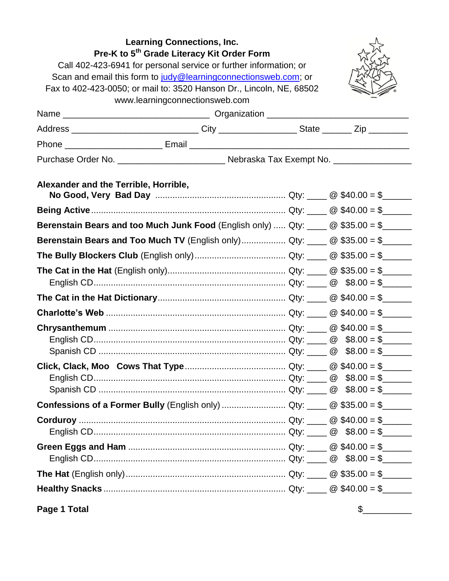| <b>Learning Connections, Inc.</b><br>Pre-K to 5 <sup>th</sup> Grade Literacy Kit Order Form<br>Call 402-423-6941 for personal service or further information; or<br>Scan and email this form to judy@learningconnectionsweb.com; or<br>Fax to 402-423-0050; or mail to: 3520 Hanson Dr., Lincoln, NE, 68502<br>www.learningconnectionsweb.com |                                                                                                     |  |  |  |
|-----------------------------------------------------------------------------------------------------------------------------------------------------------------------------------------------------------------------------------------------------------------------------------------------------------------------------------------------|-----------------------------------------------------------------------------------------------------|--|--|--|
|                                                                                                                                                                                                                                                                                                                                               |                                                                                                     |  |  |  |
|                                                                                                                                                                                                                                                                                                                                               | Address _______________________________City ____________________State ________Zip _________________ |  |  |  |
|                                                                                                                                                                                                                                                                                                                                               |                                                                                                     |  |  |  |
|                                                                                                                                                                                                                                                                                                                                               | Purchase Order No. ___________________________ Nebraska Tax Exempt No. ________________             |  |  |  |
| Alexander and the Terrible, Horrible,                                                                                                                                                                                                                                                                                                         |                                                                                                     |  |  |  |
|                                                                                                                                                                                                                                                                                                                                               |                                                                                                     |  |  |  |
|                                                                                                                                                                                                                                                                                                                                               | Berenstain Bears and too Much Junk Food (English only)  Qty: $\Box$ @ \$35.00 = \$                  |  |  |  |
|                                                                                                                                                                                                                                                                                                                                               | Berenstain Bears and Too Much TV (English only) Qty: $\Box$ @ \$35.00 = \$                          |  |  |  |
|                                                                                                                                                                                                                                                                                                                                               |                                                                                                     |  |  |  |
|                                                                                                                                                                                                                                                                                                                                               |                                                                                                     |  |  |  |
|                                                                                                                                                                                                                                                                                                                                               |                                                                                                     |  |  |  |
|                                                                                                                                                                                                                                                                                                                                               |                                                                                                     |  |  |  |
|                                                                                                                                                                                                                                                                                                                                               |                                                                                                     |  |  |  |
|                                                                                                                                                                                                                                                                                                                                               |                                                                                                     |  |  |  |
|                                                                                                                                                                                                                                                                                                                                               |                                                                                                     |  |  |  |
|                                                                                                                                                                                                                                                                                                                                               |                                                                                                     |  |  |  |
|                                                                                                                                                                                                                                                                                                                                               |                                                                                                     |  |  |  |
|                                                                                                                                                                                                                                                                                                                                               |                                                                                                     |  |  |  |
|                                                                                                                                                                                                                                                                                                                                               |                                                                                                     |  |  |  |
|                                                                                                                                                                                                                                                                                                                                               |                                                                                                     |  |  |  |
|                                                                                                                                                                                                                                                                                                                                               |                                                                                                     |  |  |  |
|                                                                                                                                                                                                                                                                                                                                               |                                                                                                     |  |  |  |
|                                                                                                                                                                                                                                                                                                                                               |                                                                                                     |  |  |  |
|                                                                                                                                                                                                                                                                                                                                               |                                                                                                     |  |  |  |
|                                                                                                                                                                                                                                                                                                                                               |                                                                                                     |  |  |  |
|                                                                                                                                                                                                                                                                                                                                               |                                                                                                     |  |  |  |

**Page 1 Total**

 $\frac{1}{2}$